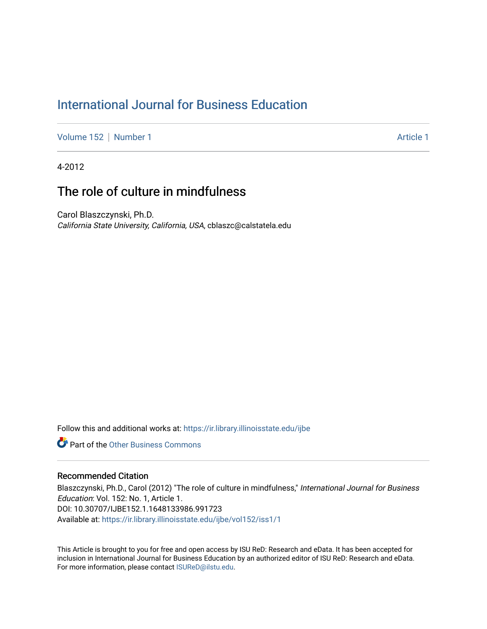#### [International Journal for Business Education](https://ir.library.illinoisstate.edu/ijbe)

[Volume 152](https://ir.library.illinoisstate.edu/ijbe/vol152) | [Number 1](https://ir.library.illinoisstate.edu/ijbe/vol152/iss1) [Article 1](https://ir.library.illinoisstate.edu/ijbe/vol152/iss1/1) Article 1 Article 1 Article 1 Article 1 Article 1

4-2012

#### The role of culture in mindfulness

Carol Blaszczynski, Ph.D. California State University, California, USA, cblaszc@calstatela.edu

Follow this and additional works at: [https://ir.library.illinoisstate.edu/ijbe](https://ir.library.illinoisstate.edu/ijbe?utm_source=ir.library.illinoisstate.edu%2Fijbe%2Fvol152%2Fiss1%2F1&utm_medium=PDF&utm_campaign=PDFCoverPages)

**Part of the Other Business Commons** 

#### Recommended Citation

Blaszczynski, Ph.D., Carol (2012) "The role of culture in mindfulness," International Journal for Business Education: Vol. 152: No. 1, Article 1. DOI: 10.30707/IJBE152.1.1648133986.991723 Available at: [https://ir.library.illinoisstate.edu/ijbe/vol152/iss1/1](https://ir.library.illinoisstate.edu/ijbe/vol152/iss1/1?utm_source=ir.library.illinoisstate.edu%2Fijbe%2Fvol152%2Fiss1%2F1&utm_medium=PDF&utm_campaign=PDFCoverPages) 

This Article is brought to you for free and open access by ISU ReD: Research and eData. It has been accepted for inclusion in International Journal for Business Education by an authorized editor of ISU ReD: Research and eData. For more information, please contact [ISUReD@ilstu.edu.](mailto:ISUReD@ilstu.edu)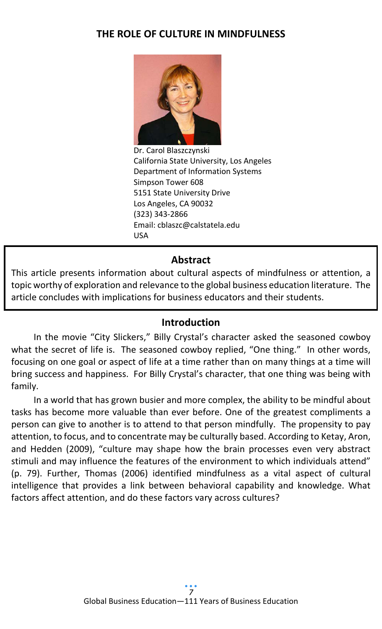## **THE ROLE OF CULTURE IN MINDFULNESS**



Dr. Carol Blaszczynski California State University, Los Angeles Department of Information Systems Simpson Tower 608 5151 State University Drive Los Angeles, CA 90032 (323) 343-2866 Email: cblaszc@calstatela.edu USA

#### **Abstract**

This article presents information about cultural aspects of mindfulness or attention, a topic worthy of exploration and relevance to the global business education literature. The article concludes with implications for business educators and their students.

#### **Introduction**

In the movie "City Slickers," Billy Crystal's character asked the seasoned cowboy what the secret of life is. The seasoned cowboy replied, "One thing." In other words, focusing on one goal or aspect of life at a time rather than on many things at a time will bring success and happiness. For Billy Crystal's character, that one thing was being with family.

In a world that has grown busier and more complex, the ability to be mindful about tasks has become more valuable than ever before. One of the greatest compliments a person can give to another is to attend to that person mindfully. The propensity to pay attention, to focus, and to concentrate may be culturally based. According to Ketay, Aron, and Hedden (2009), "culture may shape how the brain processes even very abstract stimuli and may influence the features of the environment to which individuals attend" (p. 79). Further, Thomas (2006) identified mindfulness as a vital aspect of cultural intelligence that provides a link between behavioral capability and knowledge. What factors affect attention, and do these factors vary across cultures?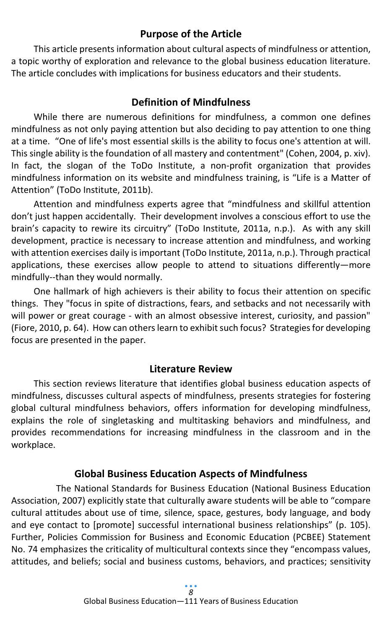## **Purpose of the Article**

This article presents information about cultural aspects of mindfulness or attention, a topic worthy of exploration and relevance to the global business education literature. The article concludes with implications for business educators and their students.

## **Definition of Mindfulness**

While there are numerous definitions for mindfulness, a common one defines mindfulness as not only paying attention but also deciding to pay attention to one thing at a time. "One of life's most essential skills is the ability to focus one's attention at will. This single ability is the foundation of all mastery and contentment" (Cohen, 2004, p. xiv). In fact, the slogan of the ToDo Institute, a non-profit organization that provides mindfulness information on its website and mindfulness training, is "Life is a Matter of Attention" (ToDo Institute, 2011b).

Attention and mindfulness experts agree that "mindfulness and skillful attention don't just happen accidentally. Their development involves a conscious effort to use the brain's capacity to rewire its circuitry" (ToDo Institute, 2011a, n.p.). As with any skill development, practice is necessary to increase attention and mindfulness, and working with attention exercises daily is important (ToDo Institute, 2011a, n.p.). Through practical applications, these exercises allow people to attend to situations differently—more mindfully--than they would normally.

One hallmark of high achievers is their ability to focus their attention on specific things. They "focus in spite of distractions, fears, and setbacks and not necessarily with will power or great courage - with an almost obsessive interest, curiosity, and passion" (Fiore, 2010, p. 64). How can others learn to exhibit such focus? Strategies for developing focus are presented in the paper.

#### **Literature Review**

This section reviews literature that identifies global business education aspects of mindfulness, discusses cultural aspects of mindfulness, presents strategies for fostering global cultural mindfulness behaviors, offers information for developing mindfulness, explains the role of singletasking and multitasking behaviors and mindfulness, and provides recommendations for increasing mindfulness in the classroom and in the workplace.

#### **Global Business Education Aspects of Mindfulness**

The National Standards for Business Education (National Business Education Association, 2007) explicitly state that culturally aware students will be able to "compare cultural attitudes about use of time, silence, space, gestures, body language, and body and eye contact to [promote] successful international business relationships" (p. 105). Further, Policies Commission for Business and Economic Education (PCBEE) Statement No. 74 emphasizes the criticality of multicultural contexts since they "encompass values, attitudes, and beliefs; social and business customs, behaviors, and practices; sensitivity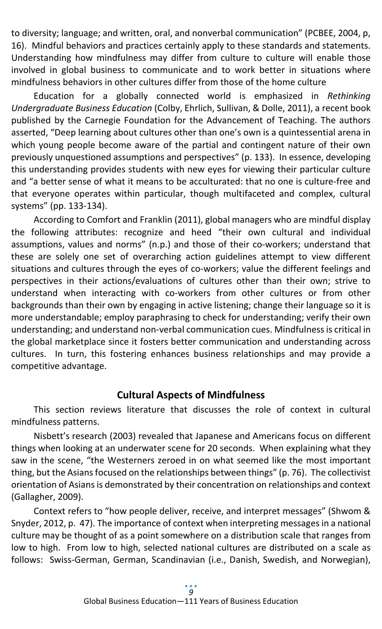to diversity; language; and written, oral, and nonverbal communication" (PCBEE, 2004, p, 16). Mindful behaviors and practices certainly apply to these standards and statements. Understanding how mindfulness may differ from culture to culture will enable those involved in global business to communicate and to work better in situations where mindfulness behaviors in other cultures differ from those of the home culture

Education for a globally connected world is emphasized in *Rethinking Undergraduate Business Education* (Colby, Ehrlich, Sullivan, & Dolle, 2011), a recent book published by the Carnegie Foundation for the Advancement of Teaching. The authors asserted, "Deep learning about cultures other than one's own is a quintessential arena in which young people become aware of the partial and contingent nature of their own previously unquestioned assumptions and perspectives" (p. 133). In essence, developing this understanding provides students with new eyes for viewing their particular culture and "a better sense of what it means to be acculturated: that no one is culture-free and that everyone operates within particular, though multifaceted and complex, cultural systems" (pp. 133-134).

According to Comfort and Franklin (2011), global managers who are mindful display the following attributes: recognize and heed "their own cultural and individual assumptions, values and norms" (n.p.) and those of their co-workers; understand that these are solely one set of overarching action guidelines attempt to view different situations and cultures through the eyes of co-workers; value the different feelings and perspectives in their actions/evaluations of cultures other than their own; strive to understand when interacting with co-workers from other cultures or from other backgrounds than their own by engaging in active listening; change their language so it is more understandable; employ paraphrasing to check for understanding; verify their own understanding; and understand non-verbal communication cues. Mindfulness is critical in the global marketplace since it fosters better communication and understanding across cultures. In turn, this fostering enhances business relationships and may provide a competitive advantage.

#### **Cultural Aspects of Mindfulness**

This section reviews literature that discusses the role of context in cultural mindfulness patterns.

Nisbett's research (2003) revealed that Japanese and Americans focus on different things when looking at an underwater scene for 20 seconds. When explaining what they saw in the scene, "the Westerners zeroed in on what seemed like the most important thing, but the Asians focused on the relationships between things" (p. 76). The collectivist orientation of Asians is demonstrated by their concentration on relationships and context (Gallagher, 2009).

Context refers to "how people deliver, receive, and interpret messages" (Shwom & Snyder, 2012, p. 47). The importance of context when interpreting messages in a national culture may be thought of as a point somewhere on a distribution scale that ranges from low to high. From low to high, selected national cultures are distributed on a scale as follows: Swiss-German, German, Scandinavian (i.e., Danish, Swedish, and Norwegian),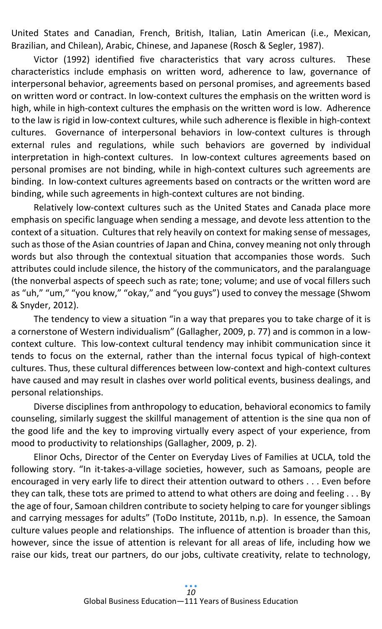United States and Canadian, French, British, Italian, Latin American (i.e., Mexican, Brazilian, and Chilean), Arabic, Chinese, and Japanese (Rosch & Segler, 1987).

Victor (1992) identified five characteristics that vary across cultures. These characteristics include emphasis on written word, adherence to law, governance of interpersonal behavior, agreements based on personal promises, and agreements based on written word or contract. In low-context cultures the emphasis on the written word is high, while in high-context cultures the emphasis on the written word is low. Adherence to the law is rigid in low-context cultures, while such adherence is flexible in high-context cultures. Governance of interpersonal behaviors in low-context cultures is through external rules and regulations, while such behaviors are governed by individual interpretation in high-context cultures. In low-context cultures agreements based on personal promises are not binding, while in high-context cultures such agreements are binding. In low-context cultures agreements based on contracts or the written word are binding, while such agreements in high-context cultures are not binding.

Relatively low-context cultures such as the United States and Canada place more emphasis on specific language when sending a message, and devote less attention to the context of a situation. Cultures that rely heavily on context for making sense of messages, such as those of the Asian countries of Japan and China, convey meaning not only through words but also through the contextual situation that accompanies those words. Such attributes could include silence, the history of the communicators, and the paralanguage (the nonverbal aspects of speech such as rate; tone; volume; and use of vocal fillers such as "uh," "um," "you know," "okay," and "you guys") used to convey the message (Shwom & Snyder, 2012).

The tendency to view a situation "in a way that prepares you to take charge of it is a cornerstone of Western individualism" (Gallagher, 2009, p. 77) and is common in a lowcontext culture. This low-context cultural tendency may inhibit communication since it tends to focus on the external, rather than the internal focus typical of high-context cultures. Thus, these cultural differences between low-context and high-context cultures have caused and may result in clashes over world political events, business dealings, and personal relationships.

Diverse disciplines from anthropology to education, behavioral economics to family counseling, similarly suggest the skillful management of attention is the sine qua non of the good life and the key to improving virtually every aspect of your experience, from mood to productivity to relationships (Gallagher, 2009, p. 2).

Elinor Ochs, Director of the Center on Everyday Lives of Families at UCLA, told the following story. "In it-takes-a-village societies, however, such as Samoans, people are encouraged in very early life to direct their attention outward to others . . . Even before they can talk, these tots are primed to attend to what others are doing and feeling . . . By the age of four, Samoan children contribute to society helping to care for younger siblings and carrying messages for adults" (ToDo Institute, 2011b, n.p). In essence, the Samoan culture values people and relationships. The influence of attention is broader than this, however, since the issue of attention is relevant for all areas of life, including how we raise our kids, treat our partners, do our jobs, cultivate creativity, relate to technology,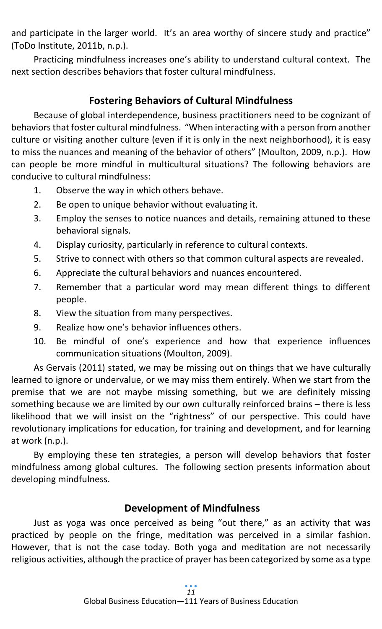and participate in the larger world. It's an area worthy of sincere study and practice" (ToDo Institute, 2011b, n.p.).

Practicing mindfulness increases one's ability to understand cultural context. The next section describes behaviors that foster cultural mindfulness.

# **Fostering Behaviors of Cultural Mindfulness**

Because of global interdependence, business practitioners need to be cognizant of behaviors that foster cultural mindfulness. "When interacting with a person from another culture or visiting another culture (even if it is only in the next neighborhood), it is easy to miss the nuances and meaning of the behavior of others" (Moulton, 2009, n.p.). How can people be more mindful in multicultural situations? The following behaviors are conducive to cultural mindfulness:

- 1. Observe the way in which others behave.
- 2. Be open to unique behavior without evaluating it.
- 3. Employ the senses to notice nuances and details, remaining attuned to these behavioral signals.
- 4. Display curiosity, particularly in reference to cultural contexts.
- 5. Strive to connect with others so that common cultural aspects are revealed.
- 6. Appreciate the cultural behaviors and nuances encountered.
- 7. Remember that a particular word may mean different things to different people.
- 8. View the situation from many perspectives.
- 9. Realize how one's behavior influences others.
- 10. Be mindful of one's experience and how that experience influences communication situations (Moulton, 2009).

As Gervais (2011) stated, we may be missing out on things that we have culturally learned to ignore or undervalue, or we may miss them entirely. When we start from the premise that we are not maybe missing something, but we are definitely missing something because we are limited by our own culturally reinforced brains – there is less likelihood that we will insist on the "rightness" of our perspective. This could have revolutionary implications for education, for training and development, and for learning at work (n.p.).

By employing these ten strategies, a person will develop behaviors that foster mindfulness among global cultures. The following section presents information about developing mindfulness.

# **Development of Mindfulness**

Just as yoga was once perceived as being "out there," as an activity that was practiced by people on the fringe, meditation was perceived in a similar fashion. However, that is not the case today. Both yoga and meditation are not necessarily religious activities, although the practice of prayer has been categorized by some as a type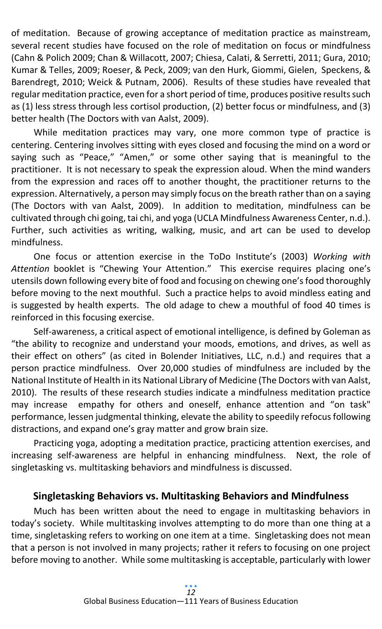of meditation. Because of growing acceptance of meditation practice as mainstream, several recent studies have focused on the role of meditation on focus or mindfulness (Cahn & Polich 2009; Chan & Willacott, 2007; Chiesa, Calati, & Serretti, 2011; Gura, 2010; Kumar & Telles, 2009; Roeser, & Peck, 2009; van den Hurk, Giommi, Gielen, Speckens, & Barendregt, 2010; Weick & Putnam, 2006). Results of these studies have revealed that regular meditation practice, even for a short period of time, produces positive results such as (1) less stress through less cortisol production, (2) better focus or mindfulness, and (3) better health (The Doctors with van Aalst, 2009).

While meditation practices may vary, one more common type of practice is centering. Centering involves sitting with eyes closed and focusing the mind on a word or saying such as "Peace," "Amen," or some other saying that is meaningful to the practitioner. It is not necessary to speak the expression aloud. When the mind wanders from the expression and races off to another thought, the practitioner returns to the expression. Alternatively, a person may simply focus on the breath rather than on a saying (The Doctors with van Aalst, 2009). In addition to meditation, mindfulness can be cultivated through chi going, tai chi, and yoga (UCLA Mindfulness Awareness Center, n.d.). Further, such activities as writing, walking, music, and art can be used to develop mindfulness.

One focus or attention exercise in the ToDo Institute's (2003) *Working with Attention* booklet is "Chewing Your Attention." This exercise requires placing one's utensils down following every bite of food and focusing on chewing one's food thoroughly before moving to the next mouthful. Such a practice helps to avoid mindless eating and is suggested by health experts. The old adage to chew a mouthful of food 40 times is reinforced in this focusing exercise.

Self-awareness, a critical aspect of emotional intelligence, is defined by Goleman as "the ability to recognize and understand your moods, emotions, and drives, as well as their effect on others" (as cited in Bolender Initiatives, LLC, n.d.) and requires that a person practice mindfulness. Over 20,000 studies of mindfulness are included by the National Institute of Health in its National Library of Medicine (The Doctors with van Aalst, 2010). The results of these research studies indicate a mindfulness meditation practice may increase empathy for others and oneself, enhance attention and "on task" performance, lessen judgmental thinking, elevate the ability to speedily refocus following distractions, and expand one's gray matter and grow brain size.

Practicing yoga, adopting a meditation practice, practicing attention exercises, and increasing self-awareness are helpful in enhancing mindfulness. Next, the role of singletasking vs. multitasking behaviors and mindfulness is discussed.

#### **Singletasking Behaviors vs. Multitasking Behaviors and Mindfulness**

Much has been written about the need to engage in multitasking behaviors in today's society. While multitasking involves attempting to do more than one thing at a time, singletasking refers to working on one item at a time. Singletasking does not mean that a person is not involved in many projects; rather it refers to focusing on one project before moving to another. While some multitasking is acceptable, particularly with lower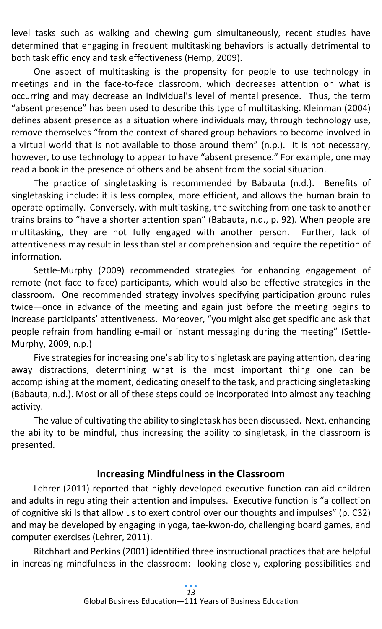level tasks such as walking and chewing gum simultaneously, recent studies have determined that engaging in frequent multitasking behaviors is actually detrimental to both task efficiency and task effectiveness (Hemp, 2009).

One aspect of multitasking is the propensity for people to use technology in meetings and in the face-to-face classroom, which decreases attention on what is occurring and may decrease an individual's level of mental presence. Thus, the term "absent presence" has been used to describe this type of multitasking. Kleinman (2004) defines absent presence as a situation where individuals may, through technology use, remove themselves "from the context of shared group behaviors to become involved in a virtual world that is not available to those around them" (n.p.). It is not necessary, however, to use technology to appear to have "absent presence." For example, one may read a book in the presence of others and be absent from the social situation.

The practice of singletasking is recommended by Babauta (n.d.). Benefits of singletasking include: it is less complex, more efficient, and allows the human brain to operate optimally. Conversely, with multitasking, the switching from one task to another trains brains to "have a shorter attention span" (Babauta, n.d., p. 92). When people are multitasking, they are not fully engaged with another person. Further, lack of attentiveness may result in less than stellar comprehension and require the repetition of information.

Settle-Murphy (2009) recommended strategies for enhancing engagement of remote (not face to face) participants, which would also be effective strategies in the classroom. One recommended strategy involves specifying participation ground rules twice—once in advance of the meeting and again just before the meeting begins to increase participants' attentiveness. Moreover, "you might also get specific and ask that people refrain from handling e-mail or instant messaging during the meeting" (Settle-Murphy, 2009, n.p.)

Five strategies for increasing one's ability to singletask are paying attention, clearing away distractions, determining what is the most important thing one can be accomplishing at the moment, dedicating oneself to the task, and practicing singletasking (Babauta, n.d.). Most or all of these steps could be incorporated into almost any teaching activity.

The value of cultivating the ability to singletask has been discussed. Next, enhancing the ability to be mindful, thus increasing the ability to singletask, in the classroom is presented.

# **Increasing Mindfulness in the Classroom**

Lehrer (2011) reported that highly developed executive function can aid children and adults in regulating their attention and impulses. Executive function is "a collection of cognitive skills that allow us to exert control over our thoughts and impulses" (p. C32) and may be developed by engaging in yoga, tae-kwon-do, challenging board games, and computer exercises (Lehrer, 2011).

Ritchhart and Perkins (2001) identified three instructional practices that are helpful in increasing mindfulness in the classroom: looking closely, exploring possibilities and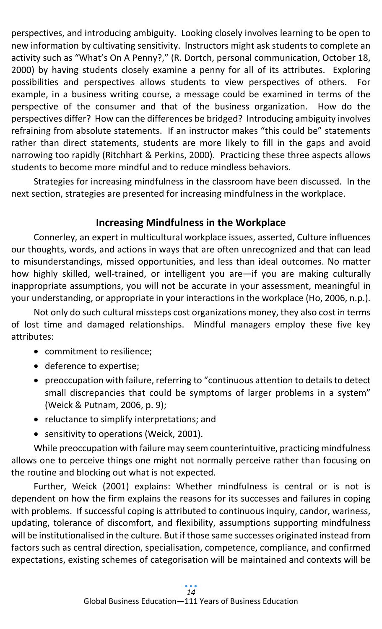perspectives, and introducing ambiguity. Looking closely involves learning to be open to new information by cultivating sensitivity. Instructors might ask students to complete an activity such as "What's On A Penny?," (R. Dortch, personal communication, October 18, 2000) by having students closely examine a penny for all of its attributes. Exploring possibilities and perspectives allows students to view perspectives of others. For example, in a business writing course, a message could be examined in terms of the perspective of the consumer and that of the business organization. How do the perspectives differ? How can the differences be bridged? Introducing ambiguity involves refraining from absolute statements. If an instructor makes "this could be" statements rather than direct statements, students are more likely to fill in the gaps and avoid narrowing too rapidly (Ritchhart & Perkins, 2000). Practicing these three aspects allows students to become more mindful and to reduce mindless behaviors.

Strategies for increasing mindfulness in the classroom have been discussed. In the next section, strategies are presented for increasing mindfulness in the workplace.

# **Increasing Mindfulness in the Workplace**

Connerley, an expert in multicultural workplace issues, asserted, Culture influences our thoughts, words, and actions in ways that are often unrecognized and that can lead to misunderstandings, missed opportunities, and less than ideal outcomes. No matter how highly skilled, well-trained, or intelligent you are—if you are making culturally inappropriate assumptions, you will not be accurate in your assessment, meaningful in your understanding, or appropriate in your interactions in the workplace (Ho, 2006, n.p.).

Not only do such cultural missteps cost organizations money, they also cost in terms of lost time and damaged relationships. Mindful managers employ these five key attributes:

- commitment to resilience;
- deference to expertise;
- preoccupation with failure, referring to "continuous attention to details to detect small discrepancies that could be symptoms of larger problems in a system" (Weick & Putnam, 2006, p. 9);
- reluctance to simplify interpretations; and
- sensitivity to operations (Weick, 2001).

While preoccupation with failure may seem counterintuitive, practicing mindfulness allows one to perceive things one might not normally perceive rather than focusing on the routine and blocking out what is not expected.

Further, Weick (2001) explains: Whether mindfulness is central or is not is dependent on how the firm explains the reasons for its successes and failures in coping with problems. If successful coping is attributed to continuous inquiry, candor, wariness, updating, tolerance of discomfort, and flexibility, assumptions supporting mindfulness will be institutionalised in the culture. But if those same successes originated instead from factors such as central direction, specialisation, competence, compliance, and confirmed expectations, existing schemes of categorisation will be maintained and contexts will be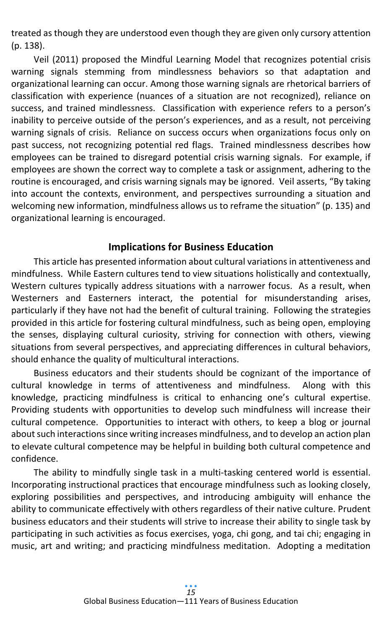treated as though they are understood even though they are given only cursory attention (p. 138).

Veil (2011) proposed the Mindful Learning Model that recognizes potential crisis warning signals stemming from mindlessness behaviors so that adaptation and organizational learning can occur. Among those warning signals are rhetorical barriers of classification with experience (nuances of a situation are not recognized), reliance on success, and trained mindlessness. Classification with experience refers to a person's inability to perceive outside of the person's experiences, and as a result, not perceiving warning signals of crisis. Reliance on success occurs when organizations focus only on past success, not recognizing potential red flags. Trained mindlessness describes how employees can be trained to disregard potential crisis warning signals. For example, if employees are shown the correct way to complete a task or assignment, adhering to the routine is encouraged, and crisis warning signals may be ignored. Veil asserts, "By taking into account the contexts, environment, and perspectives surrounding a situation and welcoming new information, mindfulness allows us to reframe the situation" (p. 135) and organizational learning is encouraged.

## **Implications for Business Education**

This article has presented information about cultural variations in attentiveness and mindfulness. While Eastern cultures tend to view situations holistically and contextually, Western cultures typically address situations with a narrower focus. As a result, when Westerners and Easterners interact, the potential for misunderstanding arises, particularly if they have not had the benefit of cultural training. Following the strategies provided in this article for fostering cultural mindfulness, such as being open, employing the senses, displaying cultural curiosity, striving for connection with others, viewing situations from several perspectives, and appreciating differences in cultural behaviors, should enhance the quality of multicultural interactions.

Business educators and their students should be cognizant of the importance of cultural knowledge in terms of attentiveness and mindfulness. Along with this knowledge, practicing mindfulness is critical to enhancing one's cultural expertise. Providing students with opportunities to develop such mindfulness will increase their cultural competence. Opportunities to interact with others, to keep a blog or journal about such interactions since writing increases mindfulness, and to develop an action plan to elevate cultural competence may be helpful in building both cultural competence and confidence.

The ability to mindfully single task in a multi-tasking centered world is essential. Incorporating instructional practices that encourage mindfulness such as looking closely, exploring possibilities and perspectives, and introducing ambiguity will enhance the ability to communicate effectively with others regardless of their native culture. Prudent business educators and their students will strive to increase their ability to single task by participating in such activities as focus exercises, yoga, chi gong, and tai chi; engaging in music, art and writing; and practicing mindfulness meditation. Adopting a meditation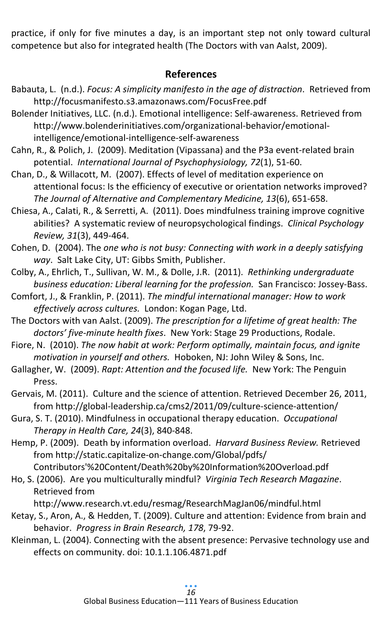practice, if only for five minutes a day, is an important step not only toward cultural competence but also for integrated health (The Doctors with van Aalst, 2009).

## **References**

- Babauta, L. (n.d.). *Focus: A simplicity manifesto in the age of distraction*. Retrieved from http://focusmanifesto.s3.amazonaws.com/FocusFree.pdf
- Bolender Initiatives, LLC. (n.d.). Emotional intelligence: Self-awareness. Retrieved from http://www.bolenderinitiatives.com/organizational-behavior/emotionalintelligence/emotional-intelligence-self-awareness
- Cahn, R., & Polich, J. (2009). Meditation (Vipassana) and the P3a event-related brain potential. *International Journal of Psychophysiology, 72*(1), 51-60.
- Chan, D., & Willacott, M. (2007). Effects of level of meditation experience on attentional focus: Is the efficiency of executive or orientation networks improved? *The Journal of Alternative and Complementary Medicine, 13*(6), 651-658.
- Chiesa, A., Calati, R., & Serretti, A. (2011). Does mindfulness training improve cognitive abilities? A systematic review of neuropsychological findings. *Clinical Psychology Review, 31*(3), 449-464.
- Cohen, D. (2004). The *one who is not busy: Connecting with work in a deeply satisfying way*. Salt Lake City, UT: Gibbs Smith, Publisher.
- Colby, A., Ehrlich, T., Sullivan, W. M., & Dolle, J.R. (2011). *Rethinking undergraduate business education: Liberal learning for the profession.* San Francisco: Jossey-Bass.
- Comfort, J., & Franklin, P. (2011). *The mindful international manager: How to work effectively across cultures.* London: Kogan Page, Ltd.
- The Doctors with van Aalst. (2009). *The prescription for a lifetime of great health: The doctors' five-minute health fixes*. New York: Stage 29 Productions, Rodale.
- Fiore, N. (2010). *The now habit at work: Perform optimally, maintain focus, and ignite motivation in yourself and others.* Hoboken, NJ: John Wiley & Sons, Inc.
- Gallagher, W. (2009). *Rapt: Attention and the focused life.* New York: The Penguin Press.
- Gervais, M. (2011). Culture and the science of attention. Retrieved December 26, 2011, from http://global-leadership.ca/cms2/2011/09/culture-science-attention/
- Gura, S. T. (2010). Mindfulness in occupational therapy education. *Occupational Therapy in Health Care, 24*(3), 840-848.
- Hemp, P. (2009). Death by information overload. *Harvard Business Review.* Retrieved from http://static.capitalize-on-change.com/Global/pdfs/

Contributors'%20Content/Death%20by%20Information%20Overload.pdf

Ho, S. (2006). Are you multiculturally mindful? *Virginia Tech Research Magazine*. Retrieved from

http://www.research.vt.edu/resmag/ResearchMagJan06/mindful.html

- Ketay, S., Aron, A., & Hedden, T. (2009). Culture and attention: Evidence from brain and behavior. *Progress in Brain Research, 178*, 79-92.
- Kleinman, L. (2004). Connecting with the absent presence: Pervasive technology use and effects on community. doi: 10.1.1.106.4871.pdf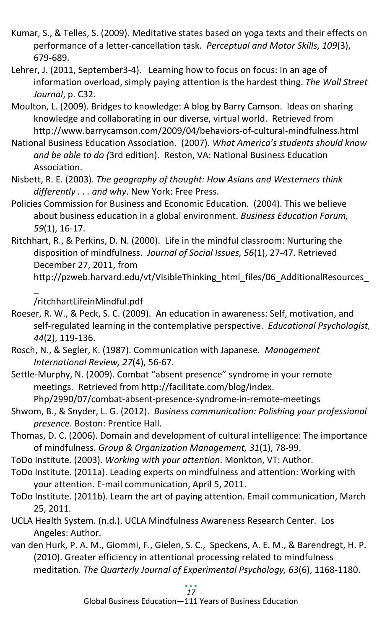- Kumar, S., & Telles, S. (2009). Meditative states based on yoga texts and their effects on performance of a letter-cancellation task. *Perceptual and Motor Skills, 109*(3), 679-689.
- Lehrer, J. (2011, September3-4). Learning how to focus on focus: In an age of information overload, simply paying attention is the hardest thing. *The Wall Street Journal*, p. C32.
- Moulton, L. (2009). Bridges to knowledge: A blog by Barry Camson. Ideas on sharing knowledge and collaborating in our diverse, virtual world. Retrieved from http://www.barrycamson.com/2009/04/behaviors-of-cultural-mindfulness.html
- National Business Education Association. (2007). *What America's students should know and be able to do (*3rd edition). Reston, VA: National Business Education Association.
- Nisbett, R. E. (2003). *The geography of thought: How Asians and Westerners think differently . . . and why*. New York: Free Press.
- Policies Commission for Business and Economic Education. (2004). This we believe about business education in a global environment. *Business Education Forum, 59*(1), 16-17.
- Ritchhart, R., & Perkins, D. N. (2000). Life in the mindful classroom: Nurturing the disposition of mindfulness. *Journal of Social Issues, 56*(1), 27-47. Retrieved December 27, 2011, from

/ritchhartLifeinMindful.pdf

\_

- Roeser, R. W., & Peck, S. C. (2009). An education in awareness: Self, motivation, and self-regulated learning in the contemplative perspective. *Educational Psychologist, 44*(2), 119-136.
- Rosch, N., & Segler, K. (1987). Communication with Japanese*. Management International Review, 27*(4), 56-67.
- Settle-Murphy, N. (2009). Combat "absent presence" syndrome in your remote meetings. Retrieved from http://facilitate.com/blog/index.

Php/2990/07/combat-absent-presence-syndrome-in-remote-meetings

- Shwom, B., & Snyder, L. G. (2012). *Business communication: Polishing your professional presence*. Boston: Prentice Hall.
- Thomas, D. C. (2006). Domain and development of cultural intelligence: The importance of mindfulness. *Group & Organization Management, 31*(1), 78-99.
- ToDo Institute. (2003). *Working with your attention*. Monkton, VT: Author.
- ToDo Institute. (2011a). Leading experts on mindfulness and attention: Working with your attention. E-mail communication, April 5, 2011.
- ToDo Institute. (2011b). Learn the art of paying attention. Email communication, March 25, 2011.
- UCLA Health System. (n.d.). UCLA Mindfulness Awareness Research Center. Los Angeles: Author.
- van den Hurk, P. A. M., Giommi, F., Gielen, S. C., Speckens, A. E. M., & Barendregt, H. P. (2010). Greater efficiency in attentional processing related to mindfulness meditation. *The Quarterly Journal of Experimental Psychology, 63*(6), 1168-1180.

http://pzweb.harvard.edu/vt/VisibleThinking\_html\_files/06\_AdditionalResources\_